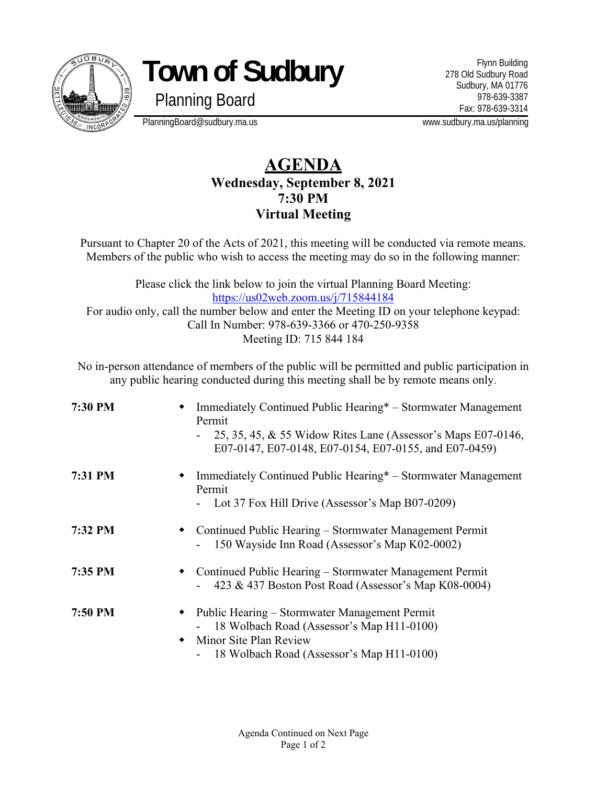

**Town of Sudbury** 

Planning Board

Flynn Building 278 Old Sudbury Road Sudbury, MA 01776 978-639-3387 Fax: 978-639-3314

PlanningBoard@sudbury.ma.us www.sudbury.ma.us/planning

## **AGENDA Wednesday, September 8, 2021 7:30 PM Virtual Meeting**

Pursuant to Chapter 20 of the Acts of 2021, this meeting will be conducted via remote means. Members of the public who wish to access the meeting may do so in the following manner:

Please click the link below to join the virtual Planning Board Meeting: https://us02web.zoom.us/j/715844184 For audio only, call the number below and enter the Meeting ID on your telephone keypad: Call In Number: 978-639-3366 or 470-250-9358 Meeting ID: 715 844 184

No in-person attendance of members of the public will be permitted and public participation in any public hearing conducted during this meeting shall be by remote means only.

| 7:30 PM |                | Immediately Continued Public Hearing* – Stormwater Management<br>Permit<br>25, 35, 45, & 55 Widow Rites Lane (Assessor's Maps E07-0146,<br>E07-0147, E07-0148, E07-0154, E07-0155, and E07-0459) |
|---------|----------------|--------------------------------------------------------------------------------------------------------------------------------------------------------------------------------------------------|
| 7:31 PM |                | Immediately Continued Public Hearing* – Stormwater Management<br>Permit<br>- Lot 37 Fox Hill Drive (Assessor's Map B07-0209)                                                                     |
| 7:32 PM |                | Continued Public Hearing – Stormwater Management Permit<br>150 Wayside Inn Road (Assessor's Map K02-0002)                                                                                        |
| 7:35 PM | ٠              | Continued Public Hearing – Stormwater Management Permit<br>423 & 437 Boston Post Road (Assessor's Map K08-0004)                                                                                  |
| 7:50 PM | ٠<br>$\bullet$ | Public Hearing – Stormwater Management Permit<br>18 Wolbach Road (Assessor's Map H11-0100)<br>Minor Site Plan Review<br>18 Wolbach Road (Assessor's Map H11-0100)                                |